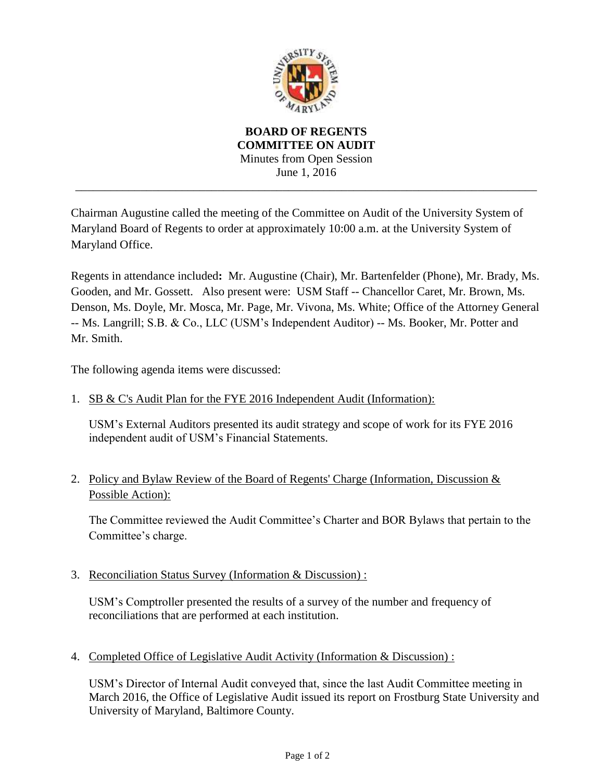

**BOARD OF REGENTS COMMITTEE ON AUDIT** Minutes from Open Session June 1, 2016 \_\_\_\_\_\_\_\_\_\_\_\_\_\_\_\_\_\_\_\_\_\_\_\_\_\_\_\_\_\_\_\_\_\_\_\_\_\_\_\_\_\_\_\_\_\_\_\_\_\_\_\_\_\_\_\_\_\_\_\_\_\_\_\_\_\_\_\_\_\_\_\_\_\_\_\_\_\_

Chairman Augustine called the meeting of the Committee on Audit of the University System of Maryland Board of Regents to order at approximately 10:00 a.m. at the University System of Maryland Office.

Regents in attendance included**:** Mr. Augustine (Chair), Mr. Bartenfelder (Phone), Mr. Brady, Ms. Gooden, and Mr. Gossett. Also present were: USM Staff -- Chancellor Caret, Mr. Brown, Ms. Denson, Ms. Doyle, Mr. Mosca, Mr. Page, Mr. Vivona, Ms. White; Office of the Attorney General -- Ms. Langrill; S.B. & Co., LLC (USM's Independent Auditor) -- Ms. Booker, Mr. Potter and Mr. Smith.

The following agenda items were discussed:

1. SB & C's Audit Plan for the FYE 2016 Independent Audit (Information):

USM's External Auditors presented its audit strategy and scope of work for its FYE 2016 independent audit of USM's Financial Statements.

2. Policy and Bylaw Review of the Board of Regents' Charge (Information, Discussion  $&$ Possible Action):

The Committee reviewed the Audit Committee's Charter and BOR Bylaws that pertain to the Committee's charge.

3. Reconciliation Status Survey (Information & Discussion) :

USM's Comptroller presented the results of a survey of the number and frequency of reconciliations that are performed at each institution.

4. Completed Office of Legislative Audit Activity (Information & Discussion) :

USM's Director of Internal Audit conveyed that, since the last Audit Committee meeting in March 2016, the Office of Legislative Audit issued its report on Frostburg State University and University of Maryland, Baltimore County.